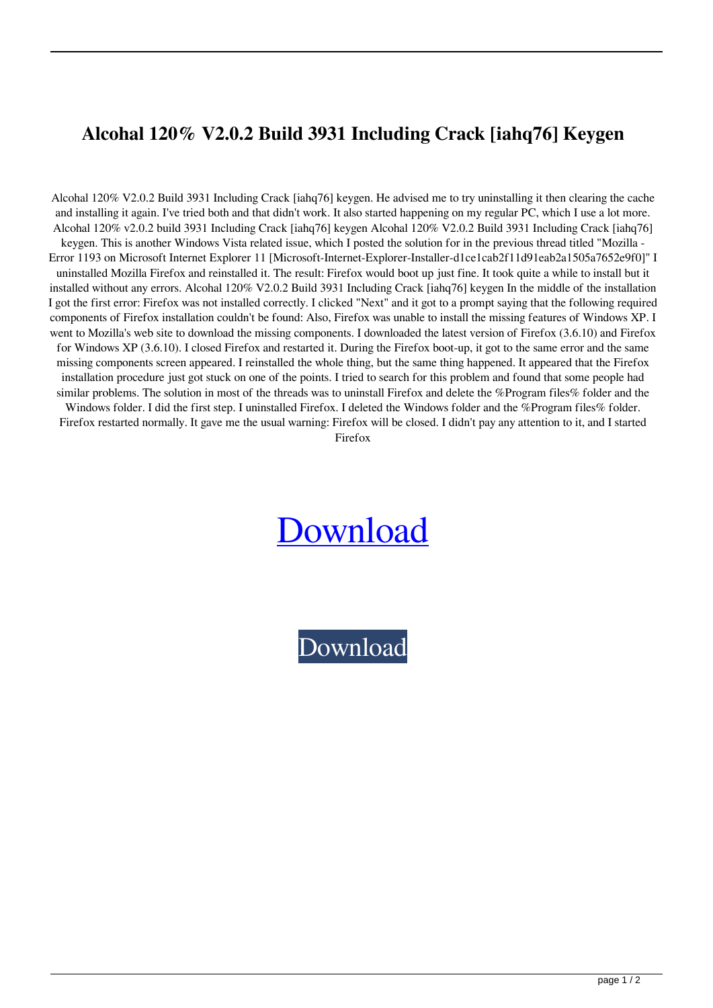## **Alcohal 120% V2.0.2 Build 3931 Including Crack [iahq76] Keygen**

Alcohal 120% V2.0.2 Build 3931 Including Crack [iahq76] keygen. He advised me to try uninstalling it then clearing the cache and installing it again. I've tried both and that didn't work. It also started happening on my regular PC, which I use a lot more. Alcohal 120% v2.0.2 build 3931 Including Crack [iahq76] keygen Alcohal 120% V2.0.2 Build 3931 Including Crack [iahq76] keygen. This is another Windows Vista related issue, which I posted the solution for in the previous thread titled "Mozilla - Error 1193 on Microsoft Internet Explorer 11 [Microsoft-Internet-Explorer-Installer-d1ce1cab2f11d91eab2a1505a7652e9f0]" I uninstalled Mozilla Firefox and reinstalled it. The result: Firefox would boot up just fine. It took quite a while to install but it installed without any errors. Alcohal 120% V2.0.2 Build 3931 Including Crack [iahq76] keygen In the middle of the installation I got the first error: Firefox was not installed correctly. I clicked "Next" and it got to a prompt saying that the following required components of Firefox installation couldn't be found: Also, Firefox was unable to install the missing features of Windows XP. I went to Mozilla's web site to download the missing components. I downloaded the latest version of Firefox (3.6.10) and Firefox for Windows XP (3.6.10). I closed Firefox and restarted it. During the Firefox boot-up, it got to the same error and the same missing components screen appeared. I reinstalled the whole thing, but the same thing happened. It appeared that the Firefox installation procedure just got stuck on one of the points. I tried to search for this problem and found that some people had similar problems. The solution in most of the threads was to uninstall Firefox and delete the %Program files% folder and the Windows folder. I did the first step. I uninstalled Firefox. I deleted the Windows folder and the %Program files% folder. Firefox restarted normally. It gave me the usual warning: Firefox will be closed. I didn't pay any attention to it, and I started Firefox



[Download](http://evacdir.com/ZG93bmxvYWR8TlM4TWpreVpIeDhNVFkxTWpjME1EZzJObng4TWpVM05IeDhLRTBwSUhKbFlXUXRZbXh2WnlCYlJtRnpkQ0JIUlU1ZA/broyles.carpeted/dida.delved/QWxjb2hhbCAxMjAlIHYyLjAuMiBidWlsZCAzOTMxIEluY2x1ZGluZyBDcmFjayBbaWFocTc2XSBrZXlnZW4QWx.leaps?polyesters=oeil)